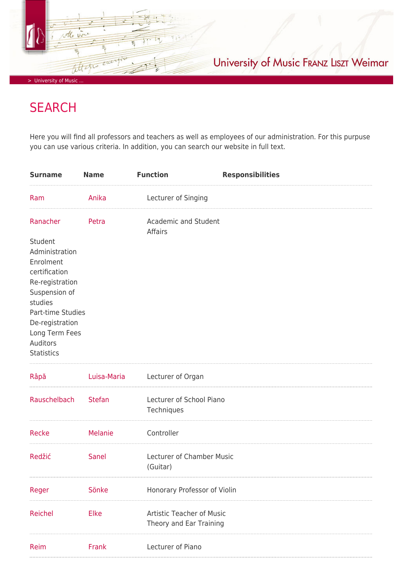University of Music FRANZ LISZT Weimar

> University of Music

Attern

Ø

## **SEARCH**

Here you will find all professors and teachers as well as employees of our administration. For this purpuse you can use various criteria. In addition, you can search our website in full text.

| <b>Surname</b>                                                                                                                                                                                                | <b>Name</b>   | <b>Function</b>                                             | <b>Responsibilities</b> |
|---------------------------------------------------------------------------------------------------------------------------------------------------------------------------------------------------------------|---------------|-------------------------------------------------------------|-------------------------|
| Ram                                                                                                                                                                                                           | Anika         | Lecturer of Singing                                         |                         |
| Ranacher<br>Student<br>Administration<br>Enrolment<br>certification<br>Re-registration<br>Suspension of<br>studies<br>Part-time Studies<br>De-registration<br>Long Term Fees<br>Auditors<br><b>Statistics</b> | Petra         | Academic and Student<br>Affairs                             |                         |
| Râpă                                                                                                                                                                                                          |               | Luisa-Maria Lecturer of Organ                               |                         |
| Rauschelbach                                                                                                                                                                                                  | <b>Stefan</b> | Lecturer of School Piano<br>Techniques                      |                         |
| Recke                                                                                                                                                                                                         | Melanie       | Controller                                                  |                         |
| Redžić                                                                                                                                                                                                        | Sanel         | Lecturer of Chamber Music<br>(Guitar)                       |                         |
| Reger                                                                                                                                                                                                         | Sönke         | Honorary Professor of Violin                                |                         |
| Reichel                                                                                                                                                                                                       | Elke          | <b>Artistic Teacher of Music</b><br>Theory and Ear Training |                         |
| Reim                                                                                                                                                                                                          | Frank         | Lecturer of Piano                                           |                         |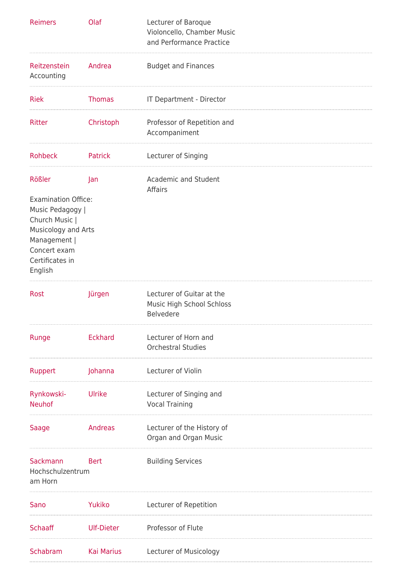| <b>Reimers</b>                                                                                                                                                  | Olaf              | Lecturer of Baroque<br>Violoncello, Chamber Music<br>and Performance Practice |
|-----------------------------------------------------------------------------------------------------------------------------------------------------------------|-------------------|-------------------------------------------------------------------------------|
| Reitzenstein<br>Accounting                                                                                                                                      | Andrea            | <b>Budget and Finances</b>                                                    |
| <b>Riek</b>                                                                                                                                                     | <b>Thomas</b>     | IT Department - Director                                                      |
| Ritter                                                                                                                                                          | Christoph         | Professor of Repetition and<br>Accompaniment                                  |
| <b>Rohbeck</b>                                                                                                                                                  | Patrick           | Lecturer of Singing                                                           |
| Rößler<br><b>Examination Office:</b><br>Music Pedagogy  <br>Church Music  <br>Musicology and Arts<br>Management  <br>Concert exam<br>Certificates in<br>English | Jan               | Academic and Student<br>Affairs                                               |
| <b>Rost</b>                                                                                                                                                     | Jürgen            | Lecturer of Guitar at the<br>Music High School Schloss<br><b>Belvedere</b>    |
| Runge                                                                                                                                                           | <b>Eckhard</b>    | Lecturer of Horn and<br><b>Orchestral Studies</b>                             |
| Ruppert                                                                                                                                                         | Johanna           | Lecturer of Violin                                                            |
| Rynkowski-<br><b>Neuhof</b>                                                                                                                                     | Ulrike            | Lecturer of Singing and<br><b>Vocal Training</b>                              |
| Saage                                                                                                                                                           | Andreas           | Lecturer of the History of<br>Organ and Organ Music                           |
| Sackmann<br>Hochschulzentrum<br>am Horn                                                                                                                         | Bert              | <b>Building Services</b>                                                      |
| Sano                                                                                                                                                            | Yukiko            | Lecturer of Repetition                                                        |
| <b>Schaaff</b>                                                                                                                                                  | Ulf-Dieter        | Professor of Flute                                                            |
| Schabram                                                                                                                                                        | <b>Kai Marius</b> | Lecturer of Musicology                                                        |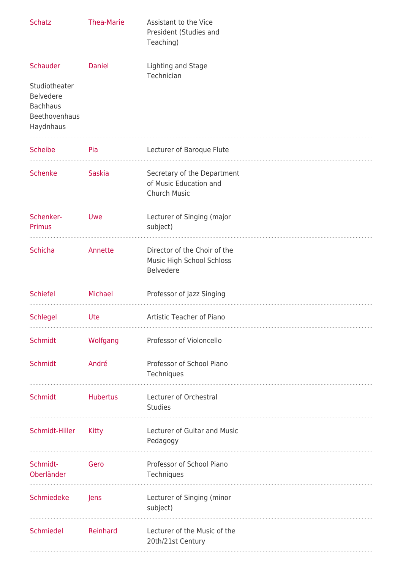| <b>Schatz</b>                                                                                  | <b>Thea-Marie</b> | Assistant to the Vice<br>President (Studies and<br>Teaching)                  |
|------------------------------------------------------------------------------------------------|-------------------|-------------------------------------------------------------------------------|
| Schauder<br>Studiotheater<br><b>Belvedere</b><br><b>Bachhaus</b><br>Beethovenhaus<br>Haydnhaus | <b>Daniel</b>     | Lighting and Stage<br>Technician                                              |
| <b>Scheibe</b>                                                                                 | Pia               | Lecturer of Baroque Flute                                                     |
| <b>Schenke</b>                                                                                 | <b>Saskia</b>     | Secretary of the Department<br>of Music Education and<br><b>Church Music</b>  |
| Schenker-<br>Primus                                                                            | Uwe               | Lecturer of Singing (major<br>subject)                                        |
| <b>Schicha</b>                                                                                 | Annette           | Director of the Choir of the<br>Music High School Schloss<br><b>Belvedere</b> |
| <b>Schiefel</b>                                                                                | Michael           | Professor of Jazz Singing                                                     |
| Schlegel                                                                                       | Ute               | Artistic Teacher of Piano                                                     |
| <b>Schmidt</b>                                                                                 | Wolfgang          | Professor of Violoncello                                                      |
| <b>Schmidt</b>                                                                                 | André             | Professor of School Piano<br>Techniques                                       |
| <b>Schmidt</b>                                                                                 | <b>Hubertus</b>   | Lecturer of Orchestral<br><b>Studies</b>                                      |
| Schmidt-Hiller                                                                                 | Kitty             | Lecturer of Guitar and Music<br>Pedagogy                                      |
| Schmidt-<br>Oberländer                                                                         | Gero              | Professor of School Piano<br>Techniques                                       |
| Schmiedeke                                                                                     | Jens              | Lecturer of Singing (minor<br>subject)                                        |
| Schmiedel                                                                                      | Reinhard          | Lecturer of the Music of the<br>20th/21st Century                             |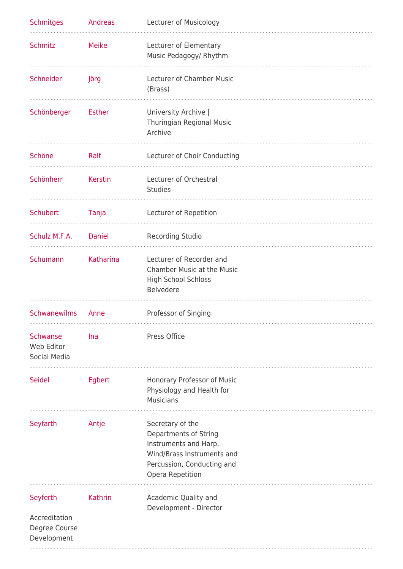| <b>Schmitges</b>                                          | Andreas       | Lecturer of Musicology                                                                                                                             |
|-----------------------------------------------------------|---------------|----------------------------------------------------------------------------------------------------------------------------------------------------|
| <b>Schmitz</b>                                            | <b>Meike</b>  | Lecturer of Elementary<br>Music Pedagogy/ Rhythm                                                                                                   |
| Schneider                                                 | Jörg          | Lecturer of Chamber Music<br>(Brass)                                                                                                               |
| Schönberger                                               | <b>Esther</b> | University Archive  <br>Thuringian Regional Music<br>Archive                                                                                       |
| Schöne                                                    | Ralf          | Lecturer of Choir Conducting                                                                                                                       |
| Schönherr                                                 | Kerstin       | Lecturer of Orchestral<br><b>Studies</b>                                                                                                           |
| Schubert                                                  | Tanja         | Lecturer of Repetition                                                                                                                             |
| Schulz M.F.A. Daniel                                      |               | <b>Recording Studio</b>                                                                                                                            |
| Schumann                                                  | Katharina     | Lecturer of Recorder and<br><b>Chamber Music at the Music</b><br>High School Schloss<br><b>Belvedere</b>                                           |
| <b>Schwanewilms</b>                                       | Anne          | Professor of Singing                                                                                                                               |
| Schwanse<br>Web Editor<br>Social Media                    | Ina           | Press Office                                                                                                                                       |
| Seidel                                                    | Egbert        | Honorary Professor of Music<br>Physiology and Health for<br><b>Musicians</b>                                                                       |
| Seyfarth                                                  | Antje         | Secretary of the<br>Departments of String<br>Instruments and Harp,<br>Wind/Brass Instruments and<br>Percussion, Conducting and<br>Opera Repetition |
| Seyferth<br>Accreditation<br>Degree Course<br>Development | Kathrin       | Academic Quality and<br>Development - Director                                                                                                     |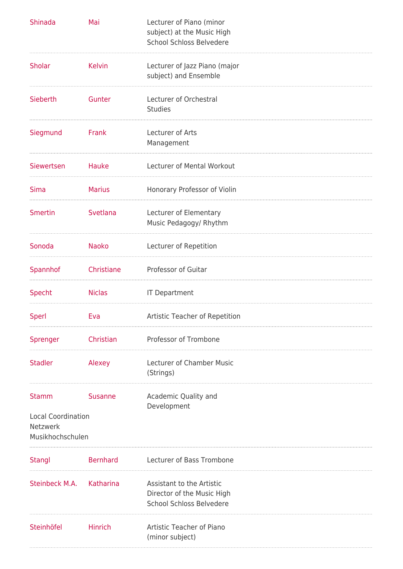| Shinada                                                                   | Mai             | Lecturer of Piano (minor<br>subject) at the Music High<br><b>School Schloss Belvedere</b>  |
|---------------------------------------------------------------------------|-----------------|--------------------------------------------------------------------------------------------|
| <b>Sholar</b>                                                             | <b>Kelvin</b>   | Lecturer of Jazz Piano (major<br>subject) and Ensemble                                     |
| Sieberth                                                                  | Gunter          | Lecturer of Orchestral<br><b>Studies</b>                                                   |
| Siegmund                                                                  | Frank           | Lecturer of Arts<br>Management                                                             |
| Siewertsen                                                                | Hauke           | Lecturer of Mental Workout                                                                 |
| <b>Sima</b>                                                               | <b>Marius</b>   | Honorary Professor of Violin                                                               |
| Smertin                                                                   | Svetlana        | Lecturer of Elementary<br>Music Pedagogy/ Rhythm                                           |
| Sonoda                                                                    | <b>Naoko</b>    | Lecturer of Repetition                                                                     |
| Spannhof                                                                  | Christiane      | Professor of Guitar                                                                        |
| Specht                                                                    | <b>Niclas</b>   | <b>IT Department</b>                                                                       |
| Sperl                                                                     | Eva             | Artistic Teacher of Repetition                                                             |
|                                                                           |                 |                                                                                            |
| Sprenger                                                                  | Christian       | Professor of Trombone                                                                      |
| <b>Stadler</b>                                                            | Alexey          | Lecturer of Chamber Music<br>(Strings)                                                     |
| <b>Stamm</b><br><b>Local Coordination</b><br>Netzwerk<br>Musikhochschulen | <b>Susanne</b>  | Academic Quality and<br>Development                                                        |
| <b>Stangl</b>                                                             | <b>Bernhard</b> | Lecturer of Bass Trombone                                                                  |
| Steinbeck M.A.                                                            | Katharina       | Assistant to the Artistic<br>Director of the Music High<br><b>School Schloss Belvedere</b> |